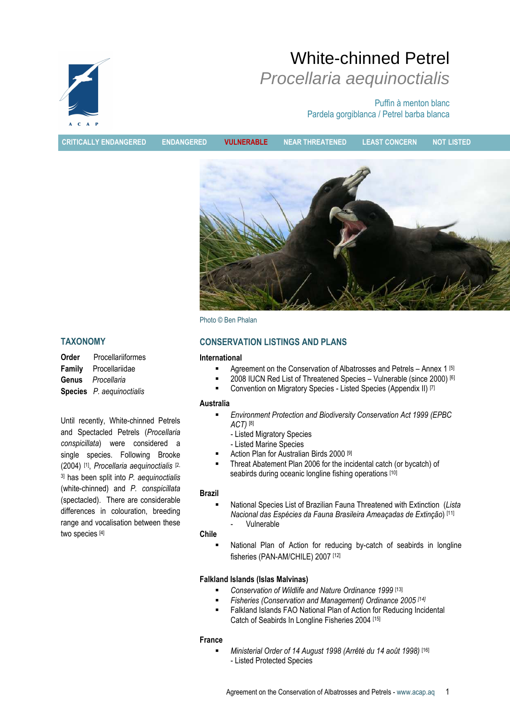

White-chinned Petrel Procellaria aequinoctialis

> Puffin à menton blanc Pardela gorgiblanca / Petrel barba blanca

CRITICALLY ENDANGERED ENDANGERED VULNERABLE NEAR THREATENED LEAST CONCERN NOT LISTED



Photo © Ben Phalan

## TAXONOMY

Order Procellariiformes Family Procellariidae Genus Procellaria Species P. aequinoctialis

Until recently, White-chinned Petrels and Spectacled Petrels (Procellaria conspicillata) were considered a single species. Following Brooke (2004) [1] , Procellaria aequinoctialis [2, <sup>3]</sup> has been split into P. aequinoctialis (white-chinned) and P. conspicillata (spectacled). There are considerable differences in colouration, breeding range and vocalisation between these two species [4]

## CONSERVATION LISTINGS AND PLANS

#### International

- **Agreement on the Conservation of Albatrosses and Petrels Annex 1 [5]**
- 2008 IUCN Red List of Threatened Species Vulnerable (since 2000) [6]
- **Convention on Migratory Species Listed Species (Appendix II)** [7]

### Australia

- Environment Protection and Biodiversity Conservation Act 1999 (EPBC ACT) [8]
	- Listed Migratory Species
	- Listed Marine Species
- Action Plan for Australian Birds 2000 [9]
- Threat Abatement Plan 2006 for the incidental catch (or bycatch) of seabirds during oceanic longline fishing operations [10]

### Brazil

 National Species List of Brazilian Fauna Threatened with Extinction (Lista Nacional das Espécies da Fauna Brasileira Ameaçadas de Extinção) [11] - Vulnerable

## Chile

 National Plan of Action for reducing by-catch of seabirds in longline fisheries (PAN-AM/CHILE) 2007 [12]

### Falkland Islands (Islas Malvinas)

- Conservation of Wildlife and Nature Ordinance 1999 [13]
- Fisheries (Conservation and Management) Ordinance 2005 [14]
- Falkland Islands FAO National Plan of Action for Reducing Incidental Catch of Seabirds In Longline Fisheries 2004 [15]

### France

 Ministerial Order of 14 August 1998 (Arrêté du 14 août 1998) [16] - Listed Protected Species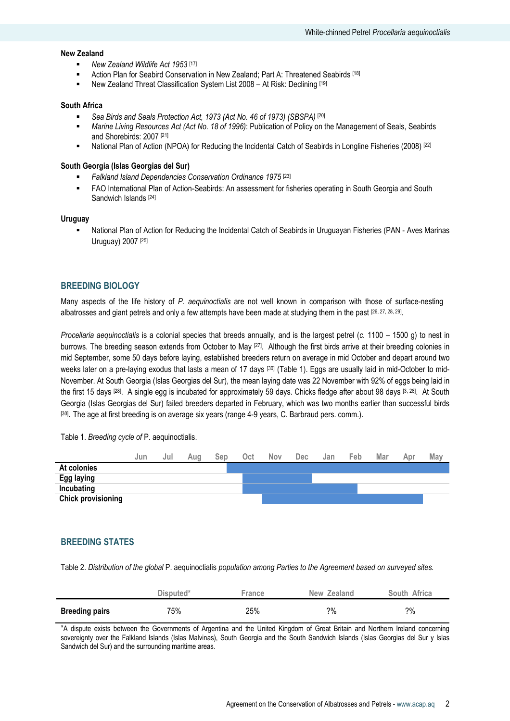## New Zealand

- New Zealand Wildlife Act 1953 [17]
- Action Plan for Seabird Conservation in New Zealand; Part A: Threatened Seabirds [18]
- New Zealand Threat Classification System List 2008 At Risk: Declining [19]

#### South Africa

- Sea Birds and Seals Protection Act, 1973 (Act No. 46 of 1973) (SBSPA) [20]
- **Marine Living Resources Act (Act No. 18 of 1996): Publication of Policy on the Management of Seals, Seabirds** and Shorebirds: 2007 [21]
- National Plan of Action (NPOA) for Reducing the Incidental Catch of Seabirds in Longline Fisheries (2008) [22]

#### South Georgia (Islas Georgias del Sur)

- Falkland Island Dependencies Conservation Ordinance 1975<sup>[23]</sup>
- FAO International Plan of Action-Seabirds: An assessment for fisheries operating in South Georgia and South Sandwich Islands<sup>[24]</sup>

#### Uruguay

 National Plan of Action for Reducing the Incidental Catch of Seabirds in Uruguayan Fisheries (PAN - Aves Marinas Uruguay) 2007 [25]

## BREEDING BIOLOGY

Many aspects of the life history of P. aequinoctialis are not well known in comparison with those of surface-nesting albatrosses and giant petrels and only a few attempts have been made at studying them in the past [26, 27, 28, 29].

Procellaria aequinoctialis is a colonial species that breeds annually, and is the largest petrel (c. 1100 – 1500 g) to nest in burrows. The breeding season extends from October to May [27]. Although the first birds arrive at their breeding colonies in mid September, some 50 days before laying, established breeders return on average in mid October and depart around two weeks later on a pre-laying exodus that lasts a mean of 17 days [30] (Table 1). Eggs are usually laid in mid-October to mid-November. At South Georgia (Islas Georgias del Sur), the mean laying date was 22 November with 92% of eggs being laid in the first 15 days [28]. A single egg is incubated for approximately 59 days. Chicks fledge after about 98 days [3, 28]. At South Georgia (Islas Georgias del Sur) failed breeders departed in February, which was two months earlier than successful birds <sup>[30]</sup>. The age at first breeding is on average six years (range 4-9 years, C. Barbraud pers. comm.).

Table 1. Breeding cycle of P. aequinoctialis.



## BREEDING STATES

Table 2. Distribution of the global P. aequinoctialis population among Parties to the Agreement based on surveyed sites.

|                       | Disputed <sup>*</sup> | France | New Zealand | South Africa |
|-----------------------|-----------------------|--------|-------------|--------------|
| <b>Breeding pairs</b> | 75%                   | 25%    | $2\%$       | $2\%$        |

\*A dispute exists between the Governments of Argentina and the United Kingdom of Great Britain and Northern Ireland concerning sovereignty over the Falkland Islands (Islas Malvinas), South Georgia and the South Sandwich Islands (Islas Georgias del Sur y Islas Sandwich del Sur) and the surrounding maritime areas.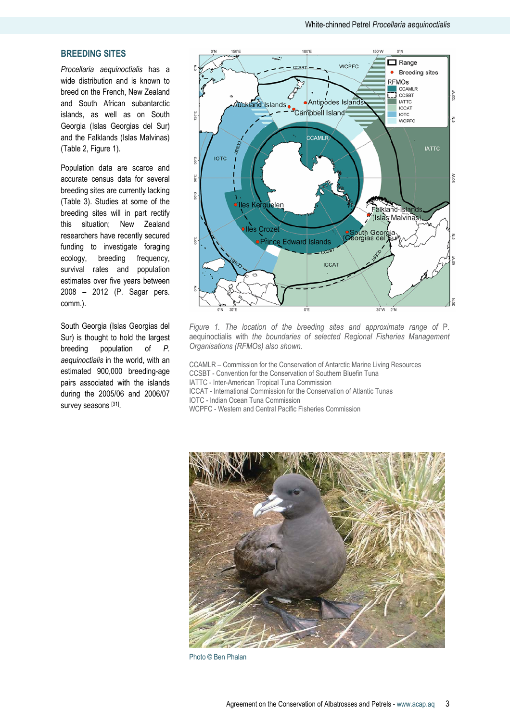## BREEDING SITES

Procellaria aequinoctialis has a wide distribution and is known to breed on the French, New Zealand and South African subantarctic islands, as well as on South Georgia (Islas Georgias del Sur) and the Falklands (Islas Malvinas) (Table 2, Figure 1).

Population data are scarce and accurate census data for several breeding sites are currently lacking (Table 3). Studies at some of the breeding sites will in part rectify this situation; New Zealand researchers have recently secured funding to investigate foraging ecology, breeding frequency, survival rates and population estimates over five years between 2008 – 2012 (P. Sagar pers. comm.).

South Georgia (Islas Georgias del Sur) is thought to hold the largest breeding population of P. aequinoctialis in the world, with an estimated 900,000 breeding-age pairs associated with the islands during the 2005/06 and 2006/07 survey seasons [31].



Figure 1. The location of the breeding sites and approximate range of P. aequinoctialis with the boundaries of selected Regional Fisheries Management Organisations (RFMOs) also shown.

CCAMLR – Commission for the Conservation of Antarctic Marine Living Resources CCSBT - Convention for the Conservation of Southern Bluefin Tuna IATTC - Inter-American Tropical Tuna Commission ICCAT - International Commission for the Conservation of Atlantic Tunas IOTC - Indian Ocean Tuna Commission

WCPFC - Western and Central Pacific Fisheries Commission



Photo © Ben Phalan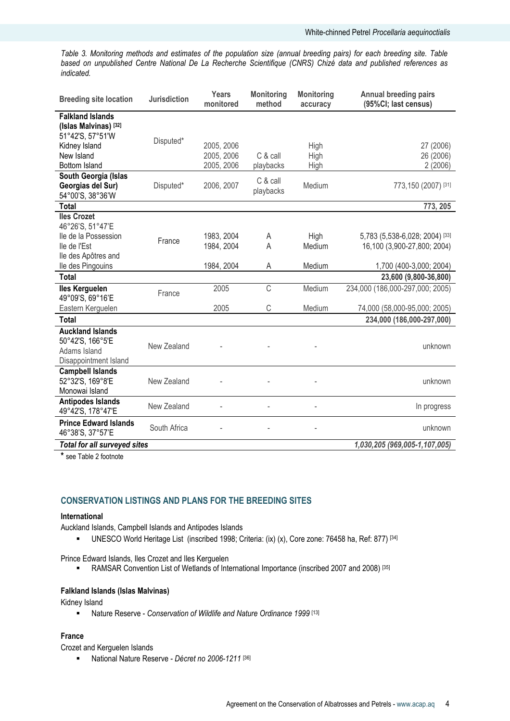Table 3. Monitoring methods and estimates of the population size (annual breeding pairs) for each breeding site. Table based on unpublished Centre National De La Recherche Scientifique (CNRS) Chizé data and published references as indicated.

| <b>Breeding site location</b>                                                                                        | <b>Jurisdiction</b> | <b>Years</b><br>monitored              | <b>Monitoring</b><br>method | <b>Monitoring</b><br>accuracy | <b>Annual breeding pairs</b><br>(95%CI; last census)            |
|----------------------------------------------------------------------------------------------------------------------|---------------------|----------------------------------------|-----------------------------|-------------------------------|-----------------------------------------------------------------|
| <b>Falkland Islands</b><br>(Islas Malvinas) [32]<br>51°42'S, 57°51'W<br>Kidney Island<br>New Island<br>Bottom Island | Disputed*           | 2005, 2006<br>2005, 2006<br>2005, 2006 | C & call<br>playbacks       | High<br>High<br>High          | 27 (2006)<br>26 (2006)<br>2(2006)                               |
| South Georgia (Islas<br>Georgias del Sur)<br>54°00'S, 38°36'W                                                        | Disputed*           | 2006, 2007                             | C & call<br>playbacks       | Medium                        | 773,150 (2007) [31]                                             |
| Total                                                                                                                |                     |                                        |                             |                               | 773, 205                                                        |
| <b>Iles Crozet</b><br>46°26'S, 51°47'E<br>lle de la Possession<br>lle de l'Est                                       | France              | 1983, 2004<br>1984, 2004               | A<br>A                      | High<br>Medium                | 5,783 (5,538-6,028; 2004) [33]<br>16,100 (3,900-27,800; 2004)   |
| lle des Apôtres and<br>lle des Pingouins                                                                             |                     | 1984, 2004                             | Α                           | Medium                        | 1,700 (400-3,000; 2004)                                         |
| <b>Total</b>                                                                                                         |                     |                                        |                             |                               | 23,600 (9,800-36,800)                                           |
| <b>Iles Kerguelen</b><br>49°09'S, 69°16'E<br>Eastern Kerguelen                                                       | France              | 2005<br>2005                           | $\mathcal{C}$<br>C          | Medium<br>Medium              | 234,000 (186,000-297,000; 2005)<br>74,000 (58,000-95,000; 2005) |
| <b>Total</b>                                                                                                         |                     |                                        |                             |                               | 234,000 (186,000-297,000)                                       |
| <b>Auckland Islands</b><br>50°42'S, 166°5'E<br>Adams Island<br>Disappointment Island                                 | New Zealand         |                                        |                             |                               | unknown                                                         |
| <b>Campbell Islands</b><br>52°32'S, 169°8'E<br>Monowai Island                                                        | New Zealand         |                                        |                             |                               | unknown                                                         |
| <b>Antipodes Islands</b><br>49°42'S, 178°47'E                                                                        | New Zealand         |                                        |                             | ÷,                            | In progress                                                     |
| <b>Prince Edward Islands</b><br>46°38'S, 37°57'E                                                                     | South Africa        |                                        |                             |                               | unknown                                                         |
| <b>Total for all surveyed sites</b>                                                                                  |                     |                                        |                             |                               | 1,030,205 (969,005-1,107,005)                                   |

\* see Table 2 footnote

## CONSERVATION LISTINGS AND PLANS FOR THE BREEDING SITES

#### International

Auckland Islands, Campbell Islands and Antipodes Islands

UNESCO World Heritage List (inscribed 1998; Criteria: (ix) (x), Core zone: 76458 ha, Ref: 877) [34]

Prince Edward Islands, Iles Crozet and Iles Kerguelen

• RAMSAR Convention List of Wetlands of International Importance (inscribed 2007 and 2008) [35]

## Falkland Islands (Islas Malvinas)

Kidney Island

■ Nature Reserve - Conservation of Wildlife and Nature Ordinance 1999 [13]

#### France

Crozet and Kerguelen Islands

National Nature Reserve - Décret no 2006-1211 [36]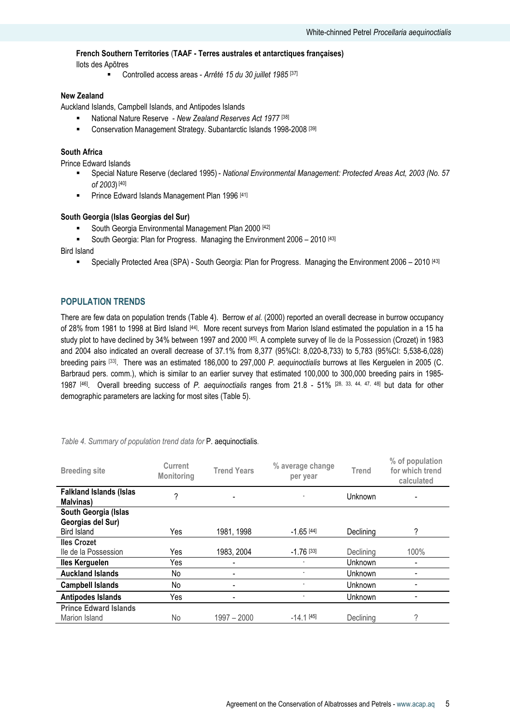# French Southern Territories (TAAF - Terres australes et antarctiques françaises)

Ilots des Apõtres

Controlled access areas - Arrêté 15 du 30 juillet 1985 [37]

#### New Zealand

Auckland Islands, Campbell Islands, and Antipodes Islands

- National Nature Reserve New Zealand Reserves Act 1977<sup>[38]</sup>
- Conservation Management Strategy. Subantarctic Islands 1998-2008<sup>[39]</sup>

#### South Africa

Prince Edward Islands

- Special Nature Reserve (declared 1995) National Environmental Management: Protected Areas Act, 2003 (No. 57 of 2003) [40]
- **Prince Edward Islands Management Plan 1996 [41]**

### South Georgia (Islas Georgias del Sur)

- South Georgia Environmental Management Plan 2000 [42]
- South Georgia: Plan for Progress. Managing the Environment 2006 2010 [43]

Bird Island

Specially Protected Area (SPA) - South Georgia: Plan for Progress. Managing the Environment 2006 – 2010 [43]

## POPULATION TRENDS

There are few data on population trends (Table 4). Berrow et al. (2000) reported an overall decrease in burrow occupancy of 28% from 1981 to 1998 at Bird Island [44]. More recent surveys from Marion Island estimated the population in a 15 ha study plot to have declined by 34% between 1997 and 2000 [45]. A complete survey of Ile de la Possession (Crozet) in 1983 and 2004 also indicated an overall decrease of 37.1% from 8,377 (95%CI: 8,020-8,733) to 5,783 (95%CI: 5,538-6,028) breeding pairs [33]. There was an estimated 186,000 to 297,000 P. aequinoctialis burrows at lles Kerguelen in 2005 (C. Barbraud pers. comm.), which is similar to an earlier survey that estimated 100,000 to 300,000 breeding pairs in 1985- 1987 [46]. Overall breeding success of P. aequinoctialis ranges from 21.8 - 51% [28, 33, 44, 47, 48] but data for other demographic parameters are lacking for most sites (Table 5).

| <b>Breeding site</b>                        | Current<br>Monitoring | <b>Trend Years</b> | % average change<br>per year | <b>Trend</b>   | % of population<br>for which trend<br>calculated |
|---------------------------------------------|-----------------------|--------------------|------------------------------|----------------|--------------------------------------------------|
| <b>Falkland Islands (Islas</b><br>Malvinas) | ?                     |                    |                              | Unknown        |                                                  |
| South Georgia (Islas<br>Georgias del Sur)   |                       |                    |                              |                |                                                  |
| Bird Island                                 | Yes                   | 1981, 1998         | $-1.65$ [44]                 | Declining      | ?                                                |
| <b>Iles Crozet</b>                          |                       |                    |                              |                |                                                  |
| lle de la Possession                        | Yes                   | 1983, 2004         | $-1.76$ [33]                 | Declining      | 100%                                             |
| <b>Iles Kerguelen</b>                       | Yes                   |                    |                              | Unknown        |                                                  |
| <b>Auckland Islands</b>                     | No                    |                    |                              | Unknown        |                                                  |
| <b>Campbell Islands</b>                     | No                    |                    |                              | Unknown        |                                                  |
| <b>Antipodes Islands</b>                    | Yes                   |                    |                              | <b>Unknown</b> |                                                  |
| <b>Prince Edward Islands</b>                |                       |                    |                              |                |                                                  |
| Marion Island                               | No                    | 1997 - 2000        | $-14.1$ [45]                 | Declining      | ?                                                |

Table 4. Summary of population trend data for P. aequinoctialis.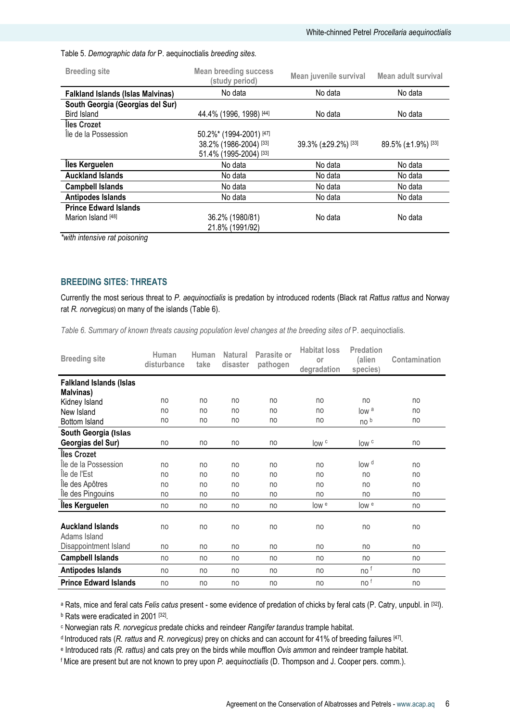## Table 5. Demographic data for P. aequinoctialis breeding sites.

| <b>Breeding site</b>                     | <b>Mean breeding success</b><br>(study period) | Mean juvenile survival | Mean adult survival<br>No data |  |
|------------------------------------------|------------------------------------------------|------------------------|--------------------------------|--|
| <b>Falkland Islands (Islas Malvinas)</b> | No data                                        | No data                |                                |  |
| South Georgia (Georgias del Sur)         |                                                |                        |                                |  |
| Bird Island                              | 44.4% (1996, 1998) [44]                        | No data                | No data                        |  |
| Îles Crozet                              |                                                |                        |                                |  |
| Île de la Possession                     | 50.2%* (1994-2001) [47]                        |                        |                                |  |
|                                          | 38.2% (1986-2004) [33]                         | 39.3% (±29.2%) [33]    | 89.5% (±1.9%) [33]             |  |
|                                          | 51.4% (1995-2004) [33]                         |                        |                                |  |
| Îles Kerguelen                           | No data                                        | No data                | No data                        |  |
| <b>Auckland Islands</b>                  | No data                                        | No data                | No data                        |  |
| <b>Campbell Islands</b>                  | No data                                        | No data                | No data                        |  |
| <b>Antipodes Islands</b>                 | No data                                        | No data                | No data                        |  |
| <b>Prince Edward Islands</b>             |                                                |                        |                                |  |
| Marion Island [48]                       | 36.2% (1980/81)                                | No data                | No data                        |  |
|                                          | 21.8% (1991/92)                                |                        |                                |  |

\*with intensive rat poisoning

## BREEDING SITES: THREATS

Currently the most serious threat to P. aequinoctialis is predation by introduced rodents (Black rat Rattus rattus and Norway rat R. norvegicus) on many of the islands (Table 6).

Table 6. Summary of known threats causing population level changes at the breeding sites of P. aequinoctialis.

| <b>Breeding site</b>           | Human<br>disturbance | Human<br>take | <b>Natural</b><br>disaster | Parasite or<br>pathogen | <b>Habitat loss</b><br>or<br>degradation | <b>Predation</b><br>(alien<br>species) | Contamination |
|--------------------------------|----------------------|---------------|----------------------------|-------------------------|------------------------------------------|----------------------------------------|---------------|
| <b>Falkland Islands (Islas</b> |                      |               |                            |                         |                                          |                                        |               |
| Malvinas)                      |                      |               |                            |                         |                                          |                                        |               |
| Kidney Island                  | no                   | no            | no                         | no                      | no                                       | no                                     | no            |
| New Island                     | no                   | no            | no                         | no                      | no                                       | low <sup>a</sup>                       | no            |
| Bottom Island                  | no                   | no            | no                         | no                      | no                                       | no b                                   | no            |
| South Georgia (Islas           |                      |               |                            |                         |                                          |                                        |               |
| Georgias del Sur)              | no                   | no            | no                         | no                      | low c                                    | low c                                  | no            |
| Îles Crozet                    |                      |               |                            |                         |                                          |                                        |               |
| Île de la Possession           | no                   | no            | no                         | no                      | no                                       | low <sup>d</sup>                       | no            |
| Île de l'Est                   | no                   | no            | no                         | no                      | no                                       | no                                     | no            |
| Île des Apôtres                | no                   | no            | no                         | no                      | no                                       | no                                     | no            |
| Île des Pingouins              | no                   | no            | no                         | no                      | no                                       | no                                     | no            |
| Îles Kerguelen                 | no                   | no            | no                         | no                      | low e                                    | low e                                  | no            |
|                                |                      |               |                            |                         |                                          |                                        |               |
| <b>Auckland Islands</b>        | no                   | no            | no                         | no                      | no                                       | no                                     | no            |
| Adams Island                   |                      |               |                            |                         |                                          |                                        |               |
| Disappointment Island          | no                   | no            | no                         | no                      | no                                       | no                                     | no            |
| <b>Campbell Islands</b>        | no                   | no            | no                         | no                      | no                                       | no                                     | no            |
| Antipodes Islands              | no                   | no            | no                         | no                      | no                                       | no <sup>f</sup>                        | no            |
| <b>Prince Edward Islands</b>   | no                   | no            | no                         | no                      | no                                       | no f                                   | no            |

a Rats, mice and feral cats *Felis catus* present - some evidence of predation of chicks by feral cats (P. Catry, unpubl. in <sup>[32]</sup>).

**b Rats were eradicated in 2001 [32].** 

c Norwegian rats R. norvegicus predate chicks and reindeer Rangifer tarandus trample habitat.

 $^{\text{d}}$  Introduced rats (*R. rattus* and *R. norvegicus)* prey on chicks and can account for 41% of breeding failures [47].

<sup>e</sup> Introduced rats (R. rattus) and cats prey on the birds while moufflon Ovis ammon and reindeer trample habitat.

f Mice are present but are not known to prey upon P. aequinoctialis (D. Thompson and J. Cooper pers. comm.).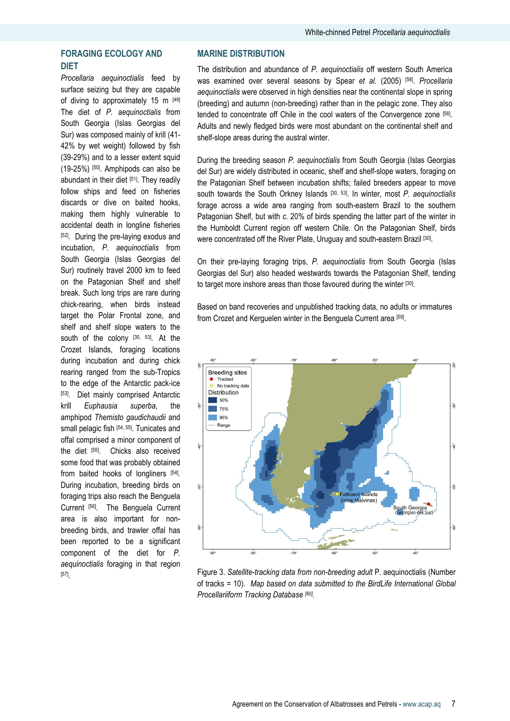## FORAGING ECOLOGY AND DIET

Procellaria aequinoctialis feed by surface seizing but they are capable of diving to approximately 15 m [49] The diet of P. aequinoctialis from South Georgia (Islas Georgias del Sur) was composed mainly of krill (41- 42% by wet weight) followed by fish (39-29%) and to a lesser extent squid (19-25%) [50]. Amphipods can also be abundant in their diet [51]. They readily follow ships and feed on fisheries discards or dive on baited hooks, making them highly vulnerable to accidental death in longline fisheries [52]. During the pre-laying exodus and incubation, P. aequinoctialis from South Georgia (Islas Georgias del Sur) routinely travel 2000 km to feed on the Patagonian Shelf and shelf break. Such long trips are rare during chick-rearing, when birds instead target the Polar Frontal zone, and shelf and shelf slope waters to the south of the colony [30, 53]. At the Crozet Islands, foraging locations during incubation and during chick rearing ranged from the sub-Tropics to the edge of the Antarctic pack-ice [53]. Diet mainly comprised Antarctic krill Euphausia superba, the amphipod Themisto gaudichaudii and small pelagic fish [54, 55]. Tunicates and offal comprised a minor component of the diet [55]. Chicks also received some food that was probably obtained from baited hooks of longliners [54]. During incubation, breeding birds on foraging trips also reach the Benguela Current [56]. The Benguela Current area is also important for nonbreeding birds, and trawler offal has been reported to be a significant component of the diet for P. aequinoctialis foraging in that region [57] .

## MARINE DISTRIBUTION

The distribution and abundance of P. aequinoctialis off western South America was examined over several seasons by Spear et al. (2005) [58]. Procellaria aequinoctialis were observed in high densities near the continental slope in spring (breeding) and autumn (non-breeding) rather than in the pelagic zone. They also tended to concentrate off Chile in the cool waters of the Convergence zone [58] . Adults and newly fledged birds were most abundant on the continental shelf and shelf-slope areas during the austral winter.

During the breeding season P. aequinoctialis from South Georgia (Islas Georgias del Sur) are widely distributed in oceanic, shelf and shelf-slope waters, foraging on the Patagonian Shelf between incubation shifts; failed breeders appear to move south towards the South Orkney Islands  $[30, 53]$ . In winter, most P. aequinoctialis forage across a wide area ranging from south-eastern Brazil to the southern Patagonian Shelf, but with c. 20% of birds spending the latter part of the winter in the Humboldt Current region off western Chile. On the Patagonian Shelf, birds were concentrated off the River Plate, Uruguay and south-eastern Brazil [30].

On their pre-laying foraging trips, P. aequinoctialis from South Georgia (Islas Georgias del Sur) also headed westwards towards the Patagonian Shelf, tending to target more inshore areas than those favoured during the winter [30].

Based on band recoveries and unpublished tracking data, no adults or immatures from Crozet and Kerguelen winter in the Benguela Current area [59].



Figure 3. Satellite-tracking data from non-breeding adult P. aequinoctialis (Number of tracks = 10). Map based on data submitted to the BirdLife International Global Procellariiform Tracking Database [60].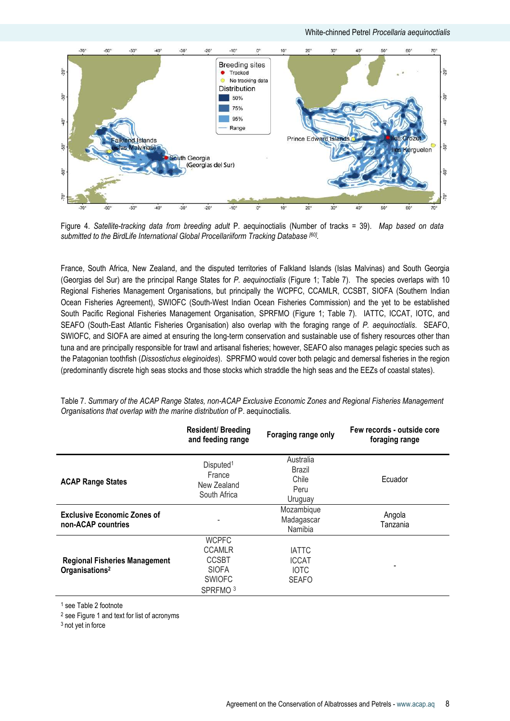

Figure 4. Satellite-tracking data from breeding adult P. aequinoctialis (Number of tracks = 39). Map based on data submitted to the BirdLife International Global Procellariiform Tracking Database [60].

France, South Africa, New Zealand, and the disputed territories of Falkland Islands (Islas Malvinas) and South Georgia (Georgias del Sur) are the principal Range States for P. aequinoctialis (Figure 1; Table 7). The species overlaps with 10 Regional Fisheries Management Organisations, but principally the WCPFC, CCAMLR, CCSBT, SIOFA (Southern Indian Ocean Fisheries Agreement), SWIOFC (South-West Indian Ocean Fisheries Commission) and the yet to be established South Pacific Regional Fisheries Management Organisation, SPRFMO (Figure 1; Table 7). IATTC, ICCAT, IOTC, and SEAFO (South-East Atlantic Fisheries Organisation) also overlap with the foraging range of P. aequinoctialis. SEAFO, SWIOFC, and SIOFA are aimed at ensuring the long-term conservation and sustainable use of fishery resources other than tuna and are principally responsible for trawl and artisanal fisheries; however, SEAFO also manages pelagic species such as the Patagonian toothfish (Dissostichus eleginoides). SPRFMO would cover both pelagic and demersal fisheries in the region (predominantly discrete high seas stocks and those stocks which straddle the high seas and the EEZs of coastal states).

|                                                                    | <b>Resident/Breeding</b><br>and feeding range                                                         | Foraging range only                                         | Few records - outside core<br>foraging range |
|--------------------------------------------------------------------|-------------------------------------------------------------------------------------------------------|-------------------------------------------------------------|----------------------------------------------|
| <b>ACAP Range States</b>                                           | Disputed <sup>1</sup><br>France<br>New Zealand<br>South Africa                                        | Australia<br>Brazil<br>Chile<br>Peru<br>Uruguay             | Ecuador                                      |
| <b>Exclusive Economic Zones of</b><br>non-ACAP countries           |                                                                                                       | Mozambique<br>Madagascar<br>Namibia                         | Angola<br>Tanzania                           |
| <b>Regional Fisheries Management</b><br>Organisations <sup>2</sup> | <b>WCPFC</b><br><b>CCAMLR</b><br><b>CCSBT</b><br><b>SIOFA</b><br><b>SWIOFC</b><br>SPRFMO <sup>3</sup> | <b>IATTC</b><br><b>ICCAT</b><br><b>IOTC</b><br><b>SEAFO</b> |                                              |

Table 7. Summary of the ACAP Range States, non-ACAP Exclusive Economic Zones and Regional Fisheries Management Organisations that overlap with the marine distribution of P. aequinoctialis.

1 see Table 2 footnote

2 see Figure 1 and text for list of acronyms

<sup>3</sup> not yet in force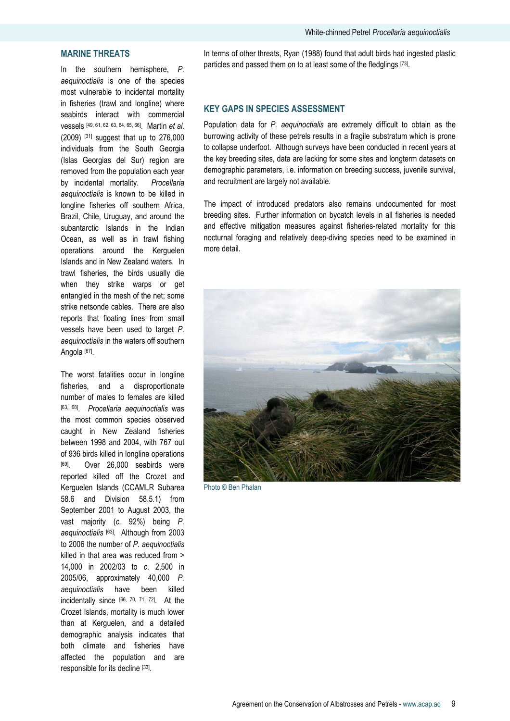## MARINE THREATS

In the southern hemisphere, P. aequinoctialis is one of the species most vulnerable to incidental mortality in fisheries (trawl and longline) where seabirds interact with commercial vessels [49, 61, 62, 63, 64, 65, 66]. Martin et al. (2009) [31] suggest that up to 276,000 individuals from the South Georgia (Islas Georgias del Sur) region are removed from the population each year by incidental mortality. Procellaria aequinoctialis is known to be killed in longline fisheries off southern Africa, Brazil, Chile, Uruguay, and around the subantarctic Islands in the Indian Ocean, as well as in trawl fishing operations around the Kerguelen Islands and in New Zealand waters. In trawl fisheries, the birds usually die when they strike warps or get entangled in the mesh of the net; some strike netsonde cables. There are also reports that floating lines from small vessels have been used to target P. aequinoctialis in the waters off southern Angola <sup>[67]</sup>.

The worst fatalities occur in longline fisheries, and a disproportionate number of males to females are killed <sup>[63, 68]</sup>. Procellaria aequinoctialis was the most common species observed caught in New Zealand fisheries between 1998 and 2004, with 767 out of 936 birds killed in longline operations [69]. Over 26,000 seabirds were reported killed off the Crozet and Kerguelen Islands (CCAMLR Subarea 58.6 and Division 58.5.1) from September 2001 to August 2003, the vast majority (c. 92%) being P. aequinoctialis [63]. Although from 2003 to 2006 the number of P. aequinoctialis killed in that area was reduced from > 14,000 in 2002/03 to c. 2,500 in 2005/06, approximately 40,000 P. aequinoctialis have been killed incidentally since [66, 70, 71, 72]. At the Crozet Islands, mortality is much lower than at Kerguelen, and a detailed demographic analysis indicates that both climate and fisheries have affected the population and are responsible for its decline [33].

In terms of other threats, Ryan (1988) found that adult birds had ingested plastic particles and passed them on to at least some of the fledglings [73].

## KEY GAPS IN SPECIES ASSESSMENT

Population data for P. aequinoctialis are extremely difficult to obtain as the burrowing activity of these petrels results in a fragile substratum which is prone to collapse underfoot. Although surveys have been conducted in recent years at the key breeding sites, data are lacking for some sites and longterm datasets on demographic parameters, i.e. information on breeding success, juvenile survival, and recruitment are largely not available.

The impact of introduced predators also remains undocumented for most breeding sites. Further information on bycatch levels in all fisheries is needed and effective mitigation measures against fisheries-related mortality for this nocturnal foraging and relatively deep-diving species need to be examined in more detail.



Photo © Ben Phalan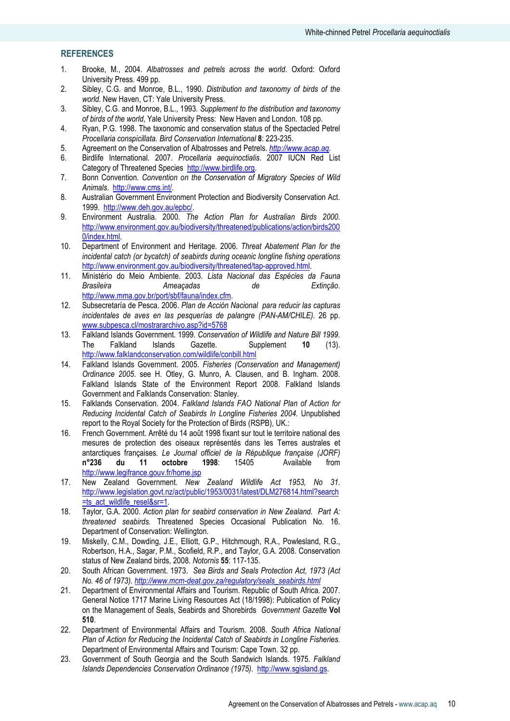## **REFERENCES**

- 1. Brooke, M., 2004. Albatrosses and petrels across the world. Oxford: Oxford University Press. 499 pp.
- 2. Sibley, C.G. and Monroe, B.L., 1990. Distribution and taxonomy of birds of the world. New Haven, CT: Yale University Press.
- 3. Sibley, C.G. and Monroe, B.L., 1993. Supplement to the distribution and taxonomy of birds of the world, Yale University Press: New Haven and London. 108 pp.
- 4. Ryan, P.G. 1998. The taxonomic and conservation status of the Spectacled Petrel Procellaria conspicillata. Bird Conservation International 8: 223-235.
- 5. Agreement on the Conservation of Albatrosses and Petrels. http://www.acap.ag.
- 6. Birdlife International. 2007. Procellaria aequinoctialis. 2007 IUCN Red List Category of Threatened Species http://www.birdlife.org.
- 7. Bonn Convention. Convention on the Conservation of Migratory Species of Wild Animals. http://www.cms.int/.
- 8. Australian Government Environment Protection and Biodiversity Conservation Act. 1999. http://www.deh.gov.au/epbc/.
- 9. Environment Australia. 2000. The Action Plan for Australian Birds 2000. http://www.environment.gov.au/biodiversity/threatened/publications/action/birds200 0/index.html.
- 10. Department of Environment and Heritage. 2006. Threat Abatement Plan for the incidental catch (or bycatch) of seabirds during oceanic longline fishing operations http://www.environment.gov.au/biodiversity/threatened/tap-approved.html.
- 11. Ministério do Meio Ambiente. 2003. Lista Nacional das Espécies da Fauna Brasileira **Ameaçadas** de Extinção. http://www.mma.gov.br/port/sbf/fauna/index.cfm.
- 12. Subsecretaría de Pesca. 2006. Plan de Acción Nacional para reducir las capturas incidentales de aves en las pesquerías de palangre (PAN-AM/CHILE). 26 pp. www.subpesca.cl/mostrararchivo.asp?id=5768
- 13. Falkland Islands Government. 1999. Conservation of Wildlife and Nature Bill 1999. The Falkland Islands Gazette. Supplement 10 (13). http://www.falklandconservation.com/wildlife/conbill.html
- 14. Falkland Islands Government. 2005. Fisheries (Conservation and Management) Ordinance 2005. see H. Otley, G. Munro, A. Clausen, and B. Ingham. 2008. Falkland Islands State of the Environment Report 2008. Falkland Islands Government and Falklands Conservation: Stanley.
- 15. Falklands Conservation. 2004. Falkland Islands FAO National Plan of Action for Reducing Incidental Catch of Seabirds In Longline Fisheries 2004. Unpublished report to the Royal Society for the Protection of Birds (RSPB), UK.:
- 16. French Government. Arrêté du 14 août 1998 fixant sur tout le territoire national des mesures de protection des oiseaux représentés dans les Terres australes et antarctiques françaises. Le Journal officiel de la République française (JORF) n°236 du 11 octobre 1998: 15405 Available from http://www.legifrance.gouv.fr/home.jsp
- 17. New Zealand Government. New Zealand Wildlife Act 1953, No 31. http://www.legislation.govt.nz/act/public/1953/0031/latest/DLM276814.html?search =ts\_act\_wildlife\_resel&sr=1.
- 18. Taylor, G.A. 2000. Action plan for seabird conservation in New Zealand. Part A: threatened seabirds. Threatened Species Occasional Publication No. 16. Department of Conservation: Wellington.
- 19. Miskelly, C.M., Dowding, J.E., Elliott, G.P., Hitchmough, R.A., Powlesland, R.G., Robertson, H.A., Sagar, P.M., Scofield, R.P., and Taylor, G.A. 2008. Conservation status of New Zealand birds, 2008. Notornis 55: 117-135.
- 20. South African Government. 1973. Sea Birds and Seals Protection Act, 1973 (Act No. 46 of 1973). http://www.mcm-deat.gov.za/regulatory/seals\_seabirds.html
- 21. Department of Environmental Affairs and Tourism. Republic of South Africa. 2007. General Notice 1717 Marine Living Resources Act (18/1998): Publication of Policy on the Management of Seals, Seabirds and Shorebirds Government Gazette Vol 510.
- 22. Department of Environmental Affairs and Tourism. 2008. South Africa National Plan of Action for Reducing the Incidental Catch of Seabirds in Longline Fisheries. Department of Environmental Affairs and Tourism: Cape Town. 32 pp.
- 23. Government of South Georgia and the South Sandwich Islands. 1975. Falkland Islands Dependencies Conservation Ordinance (1975). http://www.sgisland.gs.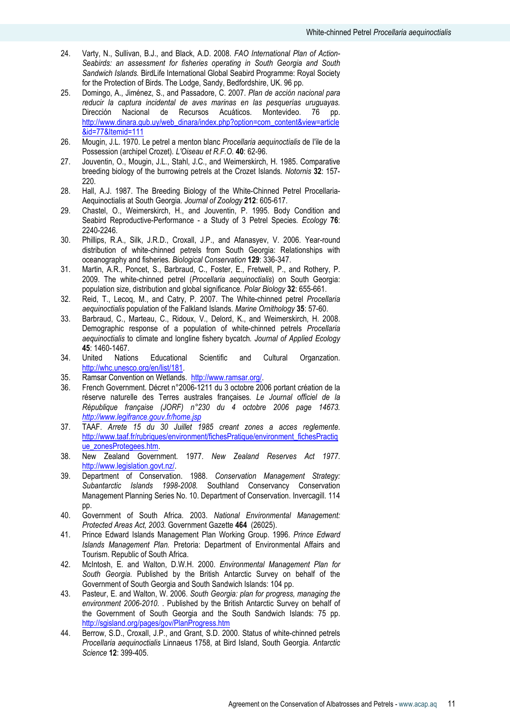- 24. Varty, N., Sullivan, B.J., and Black, A.D. 2008. FAO International Plan of Action-Seabirds: an assessment for fisheries operating in South Georgia and South Sandwich Islands. BirdLife International Global Seabird Programme: Royal Society for the Protection of Birds. The Lodge, Sandy, Bedfordshire, UK. 96 pp.
- 25. Domingo, A., Jiménez, S., and Passadore, C. 2007. Plan de acción nacional para reducir la captura incidental de aves marinas en las pesquerías uruguavas. Dirección Nacional de Recursos Acuáticos. Montevideo. 76 pp. http://www.dinara.gub.uy/web\_dinara/index.php?option=com\_content&view=article &id=77&Itemid=111
- 26. Mougin, J.L. 1970. Le petrel a menton blanc Procellaria aequinoctialis de l'ile de la Possession (archipel Crozet). L'Oiseau et R.F.O. 40: 62-96.
- 27. Jouventin, O., Mougin, J.L., Stahl, J.C., and Weimerskirch, H. 1985. Comparative breeding biology of the burrowing petrels at the Crozet Islands. Notornis 32: 157- 220.
- 28. Hall, A.J. 1987. The Breeding Biology of the White-Chinned Petrel Procellaria-Aequinoctialis at South Georgia. Journal of Zoology 212: 605-617.
- 29. Chastel, O., Weimerskirch, H., and Jouventin, P. 1995. Body Condition and Seabird Reproductive-Performance - a Study of 3 Petrel Species. Ecology 76: 2240-2246.
- 30. Phillips, R.A., Silk, J.R.D., Croxall, J.P., and Afanasyev, V. 2006. Year-round distribution of white-chinned petrels from South Georgia: Relationships with oceanography and fisheries. Biological Conservation 129: 336-347.
- 31. Martin, A.R., Poncet, S., Barbraud, C., Foster, E., Fretwell, P., and Rothery, P. 2009. The white-chinned petrel (Procellaria aequinoctialis) on South Georgia: population size, distribution and global significance. Polar Biology 32: 655-661.
- 32. Reid, T., Lecoq, M., and Catry, P. 2007. The White-chinned petrel Procellaria aequinoctialis population of the Falkland Islands. Marine Ornithology 35: 57-60.
- 33. Barbraud, C., Marteau, C., Ridoux, V., Delord, K., and Weimerskirch, H. 2008. Demographic response of a population of white-chinned petrels Procellaria aequinoctialis to climate and longline fishery bycatch. Journal of Applied Ecology 45: 1460-1467.
- 34. United Nations Educational Scientific and Cultural Organzation. http://whc.unesco.org/en/list/181.
- 35. Ramsar Convention on Wetlands. http://www.ramsar.org/.
- 36. French Government. Décret n°2006-1211 du 3 octobre 2006 portant création de la réserve naturelle des Terres australes françaises. Le Journal officiel de la République française (JORF) n°230 du 4 octobre 2006 page 14673. http://www.legifrance.gouv.fr/home.jsp
- 37. TAAF. Arrete 15 du 30 Juillet 1985 creant zones a acces reglemente. http://www.taaf.fr/rubriques/environment/fichesPratique/environment\_fichesPractiq ue\_zonesProtegees.htm.
- 38. New Zealand Government. 1977. New Zealand Reserves Act 1977. http://www.legislation.govt.nz/.
- 39. Department of Conservation. 1988. Conservation Management Strategy: Subantarctic Islands 1998-2008. Southland Conservancy Conservation Management Planning Series No. 10. Department of Conservation. Invercagill. 114 pp.
- 40. Government of South Africa. 2003. National Environmental Management: Protected Areas Act, 2003. Government Gazette 464 (26025).
- 41. Prince Edward Islands Management Plan Working Group. 1996. Prince Edward Islands Management Plan. Pretoria: Department of Environmental Affairs and Tourism. Republic of South Africa.
- 42. McIntosh, E. and Walton, D.W.H. 2000. Environmental Management Plan for South Georgia. Published by the British Antarctic Survey on behalf of the Government of South Georgia and South Sandwich Islands: 104 pp.
- 43. Pasteur, E. and Walton, W. 2006. South Georgia: plan for progress, managing the environment 2006-2010. . Published by the British Antarctic Survey on behalf of the Government of South Georgia and the South Sandwich Islands: 75 pp. http://sgisland.org/pages/gov/PlanProgress.htm
- 44. Berrow, S.D., Croxall, J.P., and Grant, S.D. 2000. Status of white-chinned petrels Procellaria aequinoctialis Linnaeus 1758, at Bird Island, South Georgia. Antarctic Science 12: 399-405.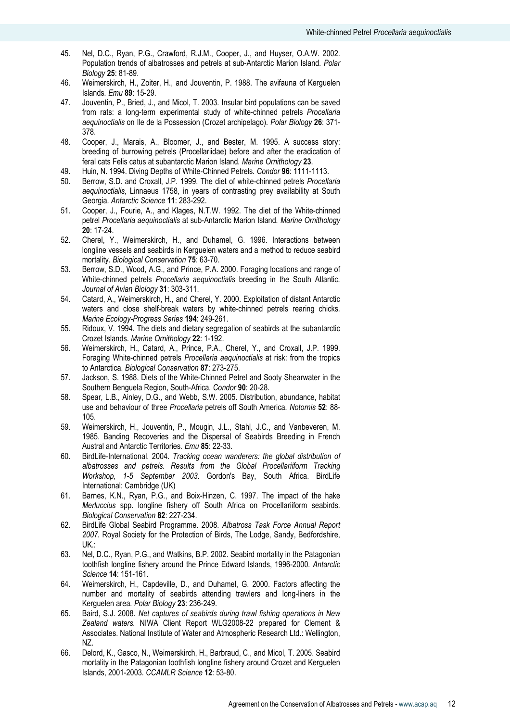- 45. Nel, D.C., Ryan, P.G., Crawford, R.J.M., Cooper, J., and Huyser, O.A.W. 2002. Population trends of albatrosses and petrels at sub-Antarctic Marion Island. Polar Biology 25: 81-89.
- 46. Weimerskirch, H., Zoiter, H., and Jouventin, P. 1988. The avifauna of Kerguelen Islands. Emu 89: 15-29.
- 47. Jouventin, P., Bried, J., and Micol, T. 2003. Insular bird populations can be saved from rats: a long-term experimental study of white-chinned petrels Procellaria aequinoctialis on Ile de la Possession (Crozet archipelago). Polar Biology 26: 371- 378.
- 48. Cooper, J., Marais, A., Bloomer, J., and Bester, M. 1995. A success story: breeding of burrowing petrels (Procellariidae) before and after the eradication of feral cats Felis catus at subantarctic Marion Island. Marine Ornithology 23.
- 49. Huin, N. 1994. Diving Depths of White-Chinned Petrels. Condor 96: 1111-1113.
- 50. Berrow, S.D. and Croxall, J.P. 1999. The diet of white-chinned petrels Procellaria aequinoctialis, Linnaeus 1758, in years of contrasting prey availability at South Georgia. Antarctic Science 11: 283-292.
- 51. Cooper, J., Fourie, A., and Klages, N.T.W. 1992. The diet of the White-chinned petrel Procellaria aequinoctialis at sub-Antarctic Marion Island. Marine Ornithology 20: 17-24.
- 52. Cherel, Y., Weimerskirch, H., and Duhamel, G. 1996. Interactions between longline vessels and seabirds in Kerguelen waters and a method to reduce seabird mortality. Biological Conservation 75: 63-70.
- 53. Berrow, S.D., Wood, A.G., and Prince, P.A. 2000. Foraging locations and range of White-chinned petrels Procellaria aequinoctialis breeding in the South Atlantic. Journal of Avian Biology 31: 303-311.
- 54. Catard, A., Weimerskirch, H., and Cherel, Y. 2000. Exploitation of distant Antarctic waters and close shelf-break waters by white-chinned petrels rearing chicks. Marine Ecology-Progress Series 194: 249-261.
- 55. Ridoux, V. 1994. The diets and dietary segregation of seabirds at the subantarctic Crozet Islands. Marine Ornithology 22: 1-192.
- 56. Weimerskirch, H., Catard, A., Prince, P.A., Cherel, Y., and Croxall, J.P. 1999. Foraging White-chinned petrels Procellaria aequinoctialis at risk: from the tropics to Antarctica. Biological Conservation 87: 273-275.
- 57. Jackson, S. 1988. Diets of the White-Chinned Petrel and Sooty Shearwater in the Southern Benguela Region, South-Africa. Condor 90: 20-28.
- 58. Spear, L.B., Ainley, D.G., and Webb, S.W. 2005. Distribution, abundance, habitat use and behaviour of three Procellaria petrels off South America. Notornis 52: 88- 105.
- 59. Weimerskirch, H., Jouventin, P., Mougin, J.L., Stahl, J.C., and Vanbeveren, M. 1985. Banding Recoveries and the Dispersal of Seabirds Breeding in French Austral and Antarctic Territories. Emu 85: 22-33.
- 60. BirdLife-International. 2004. Tracking ocean wanderers: the global distribution of albatrosses and petrels. Results from the Global Procellariiform Tracking Workshop, 1-5 September 2003. Gordon's Bay, South Africa. BirdLife International: Cambridge (UK)
- 61. Barnes, K.N., Ryan, P.G., and Boix-Hinzen, C. 1997. The impact of the hake Merluccius spp. longline fishery off South Africa on Procellariiform seabirds. Biological Conservation 82: 227-234.
- 62. BirdLife Global Seabird Programme. 2008. Albatross Task Force Annual Report 2007. Royal Society for the Protection of Birds, The Lodge, Sandy, Bedfordshire, UK.:
- 63. Nel, D.C., Ryan, P.G., and Watkins, B.P. 2002. Seabird mortality in the Patagonian toothfish longline fishery around the Prince Edward Islands, 1996-2000. Antarctic Science 14: 151-161.
- 64. Weimerskirch, H., Capdeville, D., and Duhamel, G. 2000. Factors affecting the number and mortality of seabirds attending trawlers and long-liners in the Kerguelen area. Polar Biology 23: 236-249.
- 65. Baird, S.J. 2008. Net captures of seabirds during trawl fishing operations in New Zealand waters. NIWA Client Report WLG2008-22 prepared for Clement & Associates. National Institute of Water and Atmospheric Research Ltd.: Wellington, NZ.
- 66. Delord, K., Gasco, N., Weimerskirch, H., Barbraud, C., and Micol, T. 2005. Seabird mortality in the Patagonian toothfish longline fishery around Crozet and Kerguelen Islands, 2001-2003. CCAMLR Science 12: 53-80.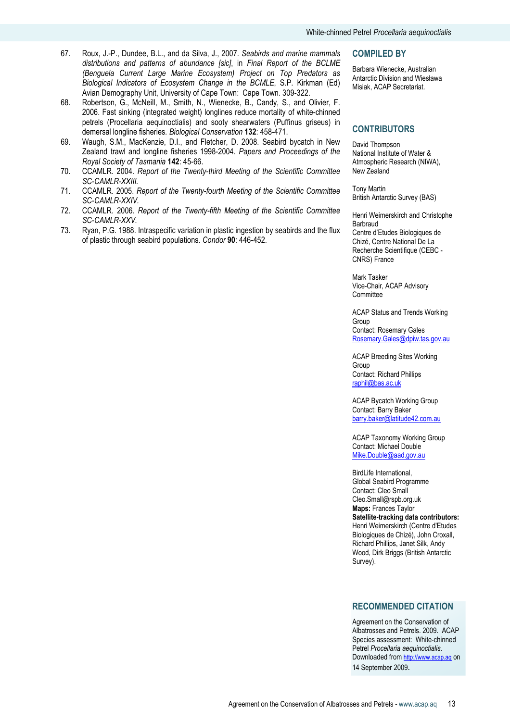- 67. Roux, J.-P., Dundee, B.L., and da Silva, J., 2007. Seabirds and marine mammals distributions and patterns of abundance [sic], in Final Report of the BCLME (Benguela Current Large Marine Ecosystem) Project on Top Predators as Biological Indicators of Ecosystem Change in the BCMLE, S.P. Kirkman (Ed) Avian Demography Unit, University of Cape Town: Cape Town. 309-322.
- 68. Robertson, G., McNeill, M., Smith, N., Wienecke, B., Candy, S., and Olivier, F. 2006. Fast sinking (integrated weight) longlines reduce mortality of white-chinned petrels (Procellaria aequinoctialis) and sooty shearwaters (Puffinus griseus) in demersal longline fisheries. Biological Conservation 132: 458-471.
- 69. Waugh, S.M., MacKenzie, D.I., and Fletcher, D. 2008. Seabird bycatch in New Zealand trawl and longline fisheries 1998-2004. Papers and Proceedings of the Royal Society of Tasmania 142: 45-66.
- 70. CCAMLR. 2004. Report of the Twenty-third Meeting of the Scientific Committee SC-CAMLR-XXIII.
- 71. CCAMLR. 2005. Report of the Twenty-fourth Meeting of the Scientific Committee SC-CAMLR-XXIV.
- 72. CCAMLR. 2006. Report of the Twenty-fifth Meeting of the Scientific Committee SC-CAMLR-XXV.
- 73. Ryan, P.G. 1988. Intraspecific variation in plastic ingestion by seabirds and the flux of plastic through seabird populations. Condor 90: 446-452.

#### COMPILED BY

Barbara Wienecke, Australian Antarctic Division and Wiesława Misiak, ACAP Secretariat.

## **CONTRIBUTORS**

David Thompson National Institute of Water & Atmospheric Research (NIWA), New Zealand

Tony Martin British Antarctic Survey (BAS)

Henri Weimerskirch and Christophe Barbraud Centre d'Etudes Biologiques de Chizé, Centre National De La Recherche Scientifique (CEBC - CNRS) France

Mark Tasker Vice-Chair, ACAP Advisory **Committee** 

ACAP Status and Trends Working Group Contact: Rosemary Gales Rosemary.Gales@dpiw.tas.gov.au

ACAP Breeding Sites Working Group Contact: Richard Phillips raphil@bas.ac.uk

ACAP Bycatch Working Group Contact: Barry Baker barry.baker@latitude42.com.au

ACAP Taxonomy Working Group Contact: Michael Double Mike.Double@aad.gov.au

BirdLife International, Global Seabird Programme Contact: Cleo Small Cleo.Small@rspb.org.uk Maps: Frances Taylor Satellite-tracking data contributors: Henri Weimerskirch (Centre d'Etudes Biologiques de Chizé), John Croxall, Richard Phillips, Janet Silk, Andy Wood, Dirk Briggs (British Antarctic Survey).

## RECOMMENDED CITATION

Agreement on the Conservation of Albatrosses and Petrels. 2009. ACAP Species assessment: White-chinned Petrel Procellaria aequinoctialis. Downloaded from http://www.acap.aq on 14 September 2009.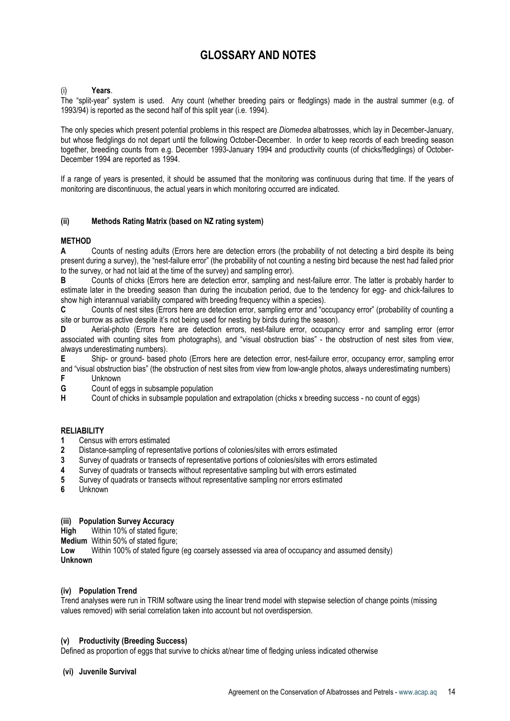# GLOSSARY AND NOTES

## Years.

The "split-year" system is used. Any count (whether breeding pairs or fledglings) made in the austral summer (e.g. of 1993/94) is reported as the second half of this split year (i.e. 1994).

The only species which present potential problems in this respect are Diomedea albatrosses, which lay in December-January, but whose fledglings do not depart until the following October-December. In order to keep records of each breeding season together, breeding counts from e.g. December 1993-January 1994 and productivity counts (of chicks/fledglings) of October-December 1994 are reported as 1994.

If a range of years is presented, it should be assumed that the monitoring was continuous during that time. If the years of monitoring are discontinuous, the actual years in which monitoring occurred are indicated.

### (ii) Methods Rating Matrix (based on NZ rating system)

## **METHOD**

A Counts of nesting adults (Errors here are detection errors (the probability of not detecting a bird despite its being present during a survey), the "nest-failure error" (the probability of not counting a nesting bird because the nest had failed prior to the survey, or had not laid at the time of the survey) and sampling error).

B Counts of chicks (Errors here are detection error, sampling and nest-failure error. The latter is probably harder to estimate later in the breeding season than during the incubation period, due to the tendency for egg- and chick-failures to show high interannual variability compared with breeding frequency within a species).

C Counts of nest sites (Errors here are detection error, sampling error and "occupancy error" (probability of counting a site or burrow as active despite it's not being used for nesting by birds during the season).

D Aerial-photo (Errors here are detection errors, nest-failure error, occupancy error and sampling error (error associated with counting sites from photographs), and "visual obstruction bias" - the obstruction of nest sites from view, always underestimating numbers).

E Ship- or ground- based photo (Errors here are detection error, nest-failure error, occupancy error, sampling error and "visual obstruction bias" (the obstruction of nest sites from view from low-angle photos, always underestimating numbers)<br>F Unknown

- **Unknown**
- **G** Count of eggs in subsample population<br> **H** Count of chicks in subsample population

Count of chicks in subsample population and extrapolation (chicks x breeding success - no count of eggs)

### **RELIABILITY**

- 1 Census with errors estimated
- 2 Distance-sampling of representative portions of colonies/sites with errors estimated
- 3 Survey of quadrats or transects of representative portions of colonies/sites with errors estimated
- 4 Survey of quadrats or transects without representative sampling but with errors estimated
- 5 Survey of quadrats or transects without representative sampling nor errors estimated
- 6 Unknown

### (iii) Population Survey Accuracy

High Within 10% of stated figure:

Medium Within 50% of stated figure;

Low Within 100% of stated figure (eg coarsely assessed via area of occupancy and assumed density) Unknown

### (iv) Population Trend

Trend analyses were run in TRIM software using the linear trend model with stepwise selection of change points (missing values removed) with serial correlation taken into account but not overdispersion.

#### (v) Productivity (Breeding Success)

Defined as proportion of eggs that survive to chicks at/near time of fledging unless indicated otherwise

### (vi) Juvenile Survival